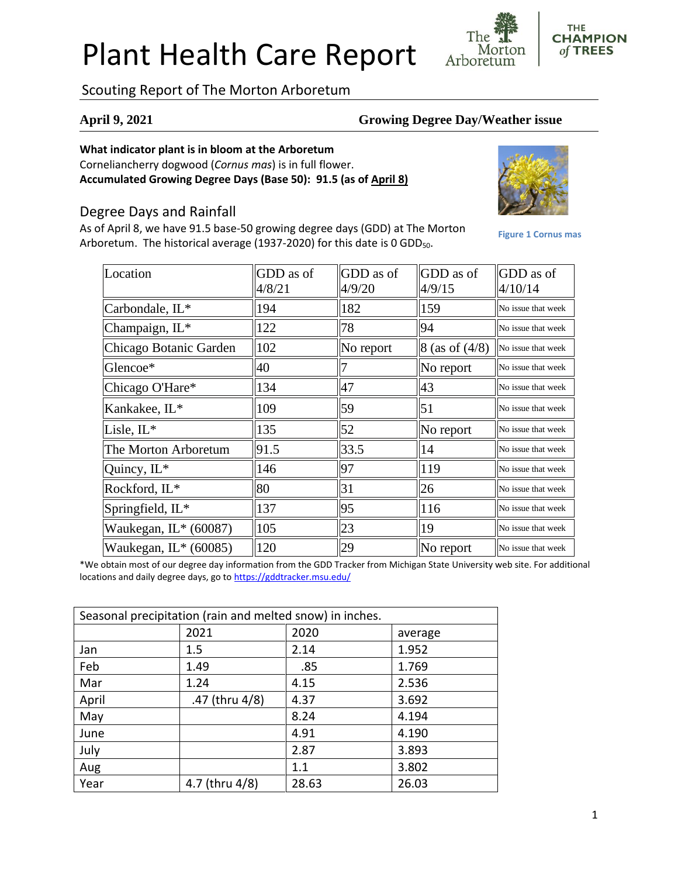# Plant Health Care Report

Scouting Report of The Morton Arboretum

Location

#### **April 9, 2021 Growing Degree Day/Weather issue**

GDD as of 4/9/15

#### **What indicator plant is in bloom at the Arboretum**

Corneliancherry dogwood (*Cornus mas*) is in full flower. **Accumulated Growing Degree Days (Base 50): 91.5 (as of April 8)**

### Degree Days and Rainfall

As of April 8, we have 91.5 base-50 growing degree days (GDD) at The Morton Arboretum. The historical average (1937-2020) for this date is 0 GDD<sub>50</sub>.

> GDD as of 4/8/21

GDD as of 4/9/20

Carbondale,  $IL^*$  194 182 159 No issue that week Champaign,  $IL^*$   $||122$   $||78$   $||94$   $||N$ o issue that week

| Chicago Botanic Garden | 102  | No report | $8$ (as of $(4/8)$ ) | No issue that week |
|------------------------|------|-----------|----------------------|--------------------|
| Glencoe*               | 40   |           | No report            | No issue that week |
| Chicago O'Hare*        | 134  | 47        | 43                   | No issue that week |
| Kankakee, IL*          | 109  | 159       | 51                   | No issue that week |
| Lisle, $IL^*$          | 135  | 52        | No report            | No issue that week |
| The Morton Arboretum   | 91.5 | 33.5      | 14                   | No issue that week |
| Quincy, IL*            | 146  | 197       | 119                  | No issue that week |
| Rockford, IL*          | 80   | 31        | 26                   | No issue that week |
| Springfield, $IL^*$    | 137  | 195       | 116                  | No issue that week |

\*We obtain most of our degree day information from the GDD Tracker from Michigan State University web site. For additional locations and daily degree days, go to <https://gddtracker.msu.edu/>

**Waukegan, IL\*** (60087)  $\|105$   $\|23$   $\|19$   $\|$ No issue that week Waukegan,  $\text{IL}^*(60085)$  ||120 ||29 ||No report ||No issue that week

| Seasonal precipitation (rain and melted snow) in inches. |                |       |         |  |  |
|----------------------------------------------------------|----------------|-------|---------|--|--|
|                                                          | 2021           | 2020  | average |  |  |
| Jan                                                      | 1.5            | 2.14  | 1.952   |  |  |
| Feb                                                      | 1.49           | .85   | 1.769   |  |  |
| Mar                                                      | 1.24           | 4.15  | 2.536   |  |  |
| April                                                    | .47 (thru 4/8) | 4.37  | 3.692   |  |  |
| May                                                      |                | 8.24  | 4.194   |  |  |
| June                                                     |                | 4.91  | 4.190   |  |  |
| July                                                     |                | 2.87  | 3.893   |  |  |
| Aug                                                      |                | 1.1   | 3.802   |  |  |
| Year                                                     | 4.7 (thru 4/8) | 28.63 | 26.03   |  |  |



**Figure 1 Cornus mas**

GDD as of 4/10/14